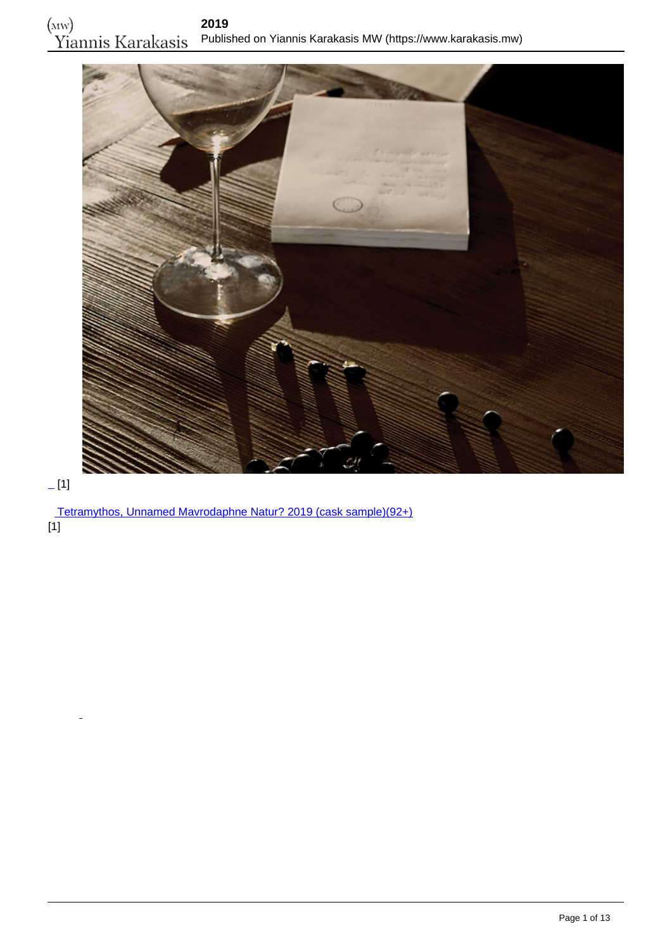

# $[1]$

 [Tetramythos, Unnamed Mavrodaphne Natur? 2019 \(cask sample\)\(92+\)](https://www.karakasis.mw/tetramythos-unnamed-mavrodaphne-nature-2019-cask-sample) [1]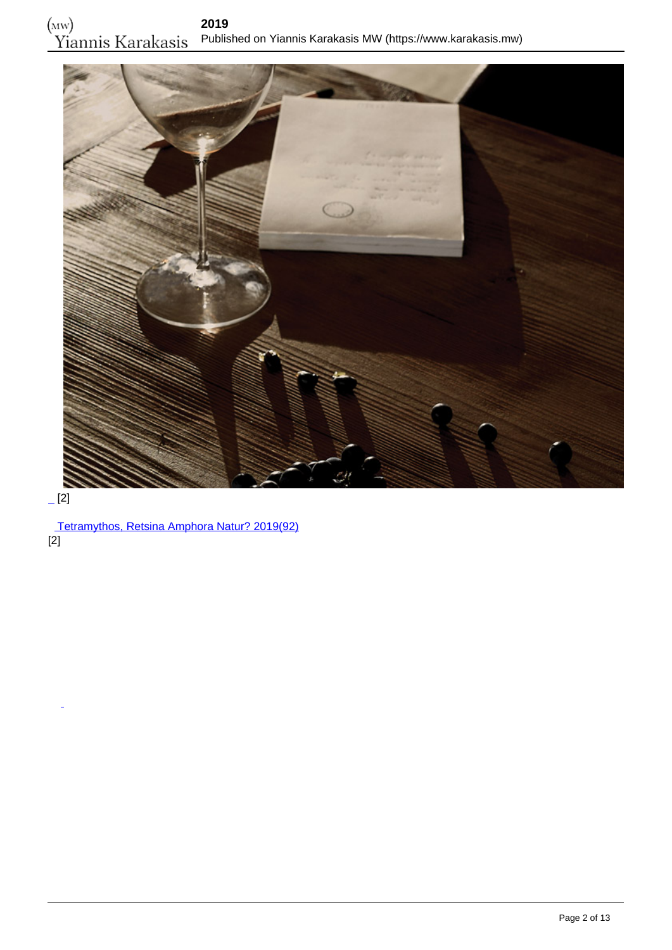

## $-$ [2]

 [Tetramythos, Retsina Amphora Natur? 2019\(92\)](https://www.karakasis.mw/tetramythos-retsina-amphora-nature-2019) [2]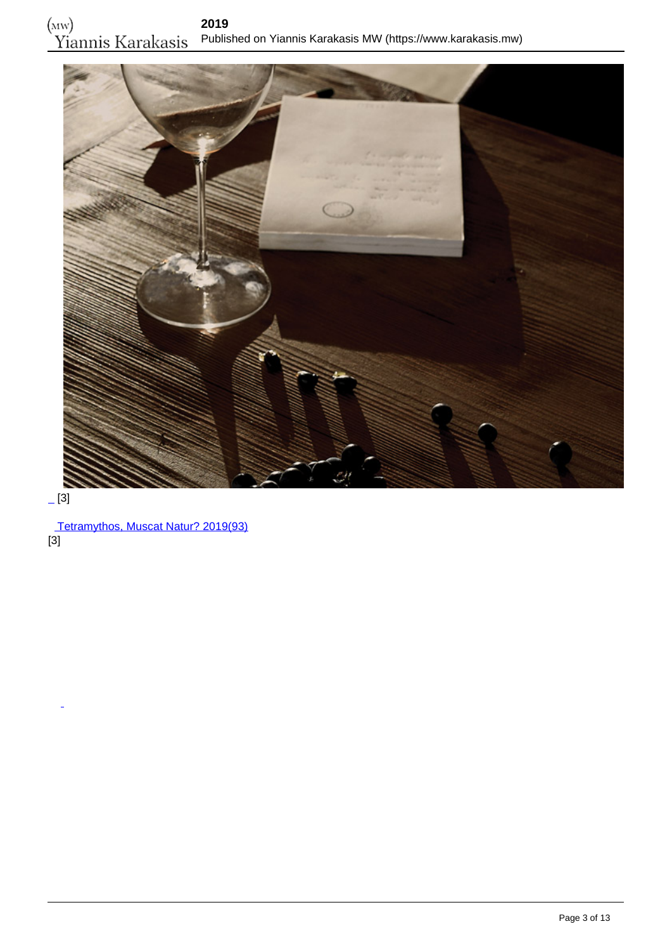

# $-[3]$

 [Tetramythos, Muscat Natur? 2019\(93\)](https://www.karakasis.mw/tetramythos-muscat-nature-2019) [3]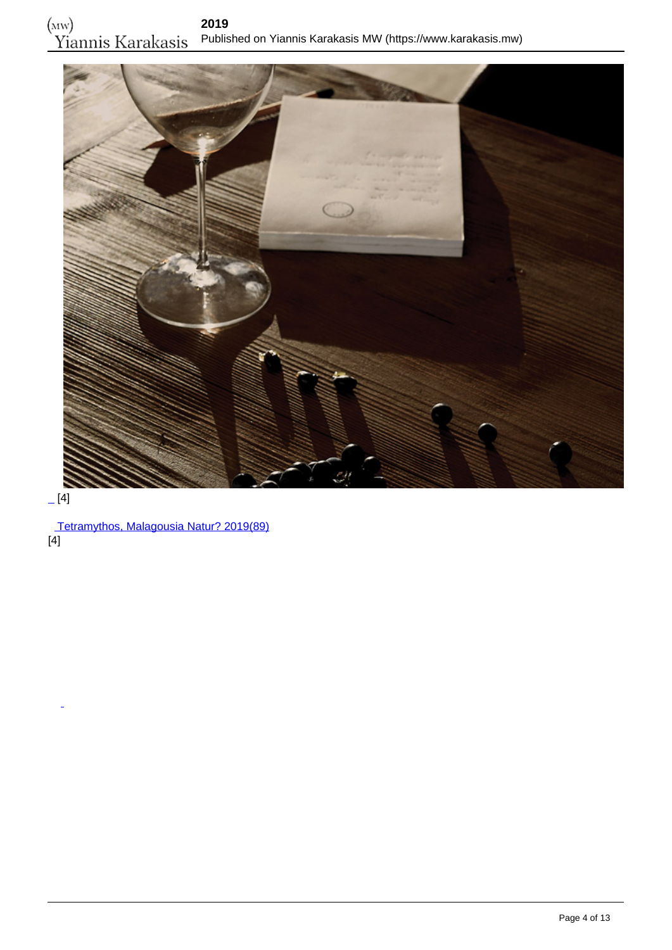

#### $[4]$

 [Tetramythos, Malagousia Natur? 2019\(89\)](https://www.karakasis.mw/tetramythos-malagousia-nature-2019)  $\overline{[4]}$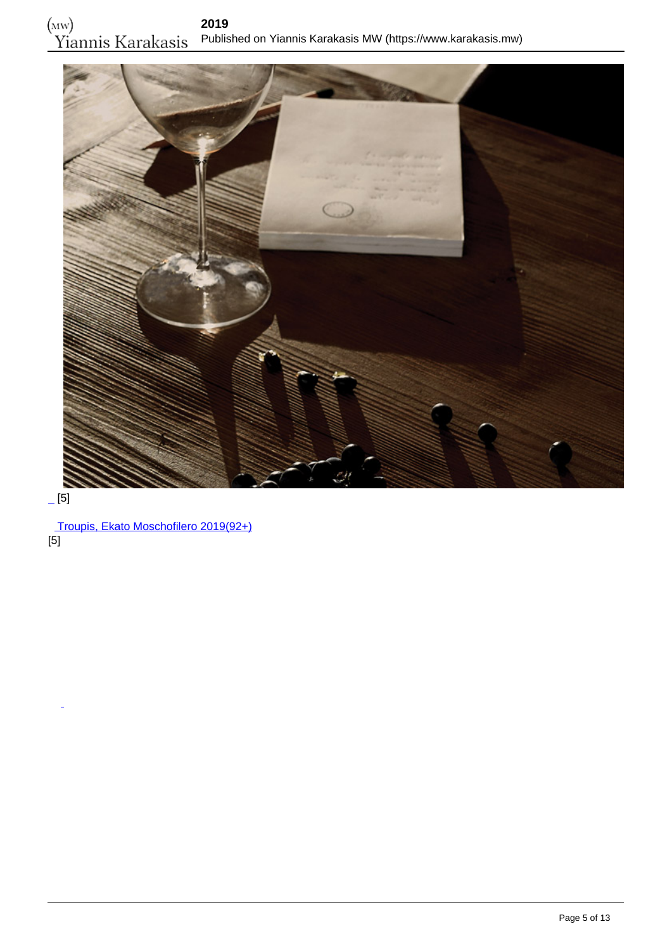

## $-[5]$

 [Troupis, Ekato Moschofilero 2019\(92+\)](https://www.karakasis.mw/troupis-ekato-moschofilero-2019)  $\overline{[5]}$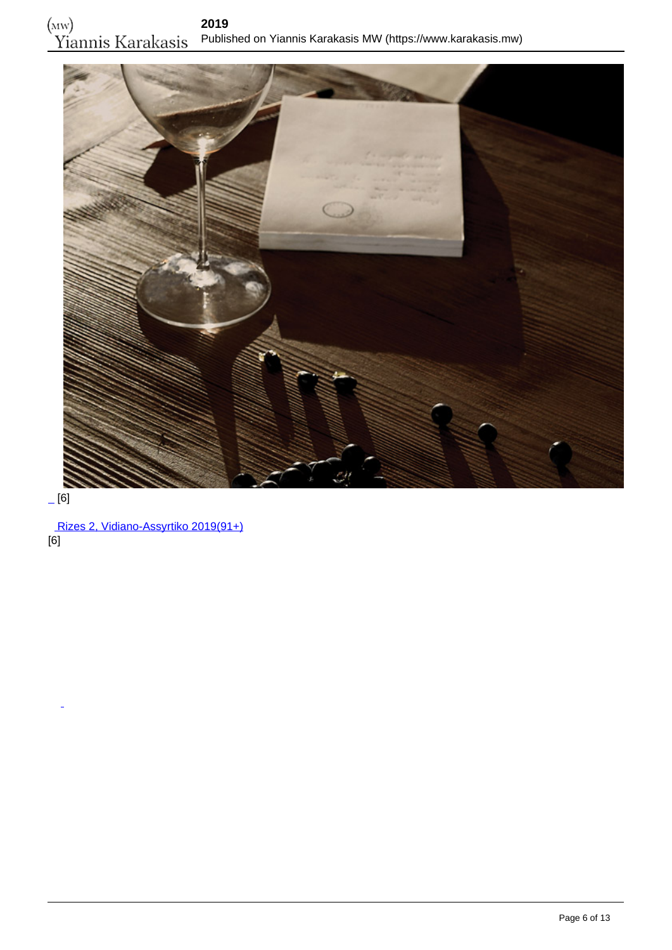

## $-[6]$

 [Rizes 2, Vidiano-Assyrtiko 2019\(91+\)](https://www.karakasis.mw/rizes-2-vidiano-assyrtiko-2019) [6]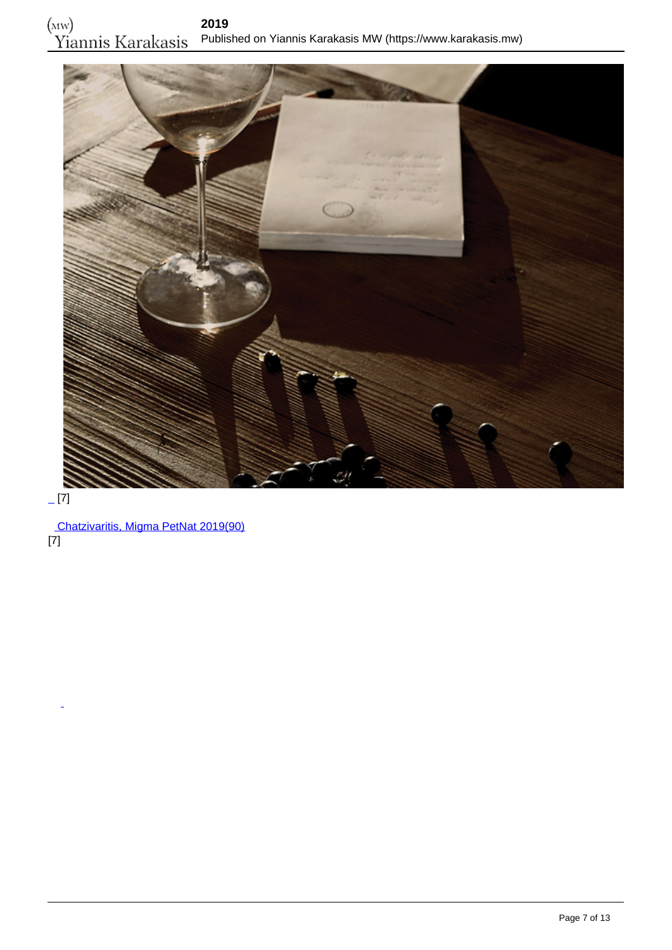

#### $-[7]$

 [Chatzivaritis, Migma PetNat 2019\(90\)](https://www.karakasis.mw/chatzivaritis-migma-petnat-2019) [7]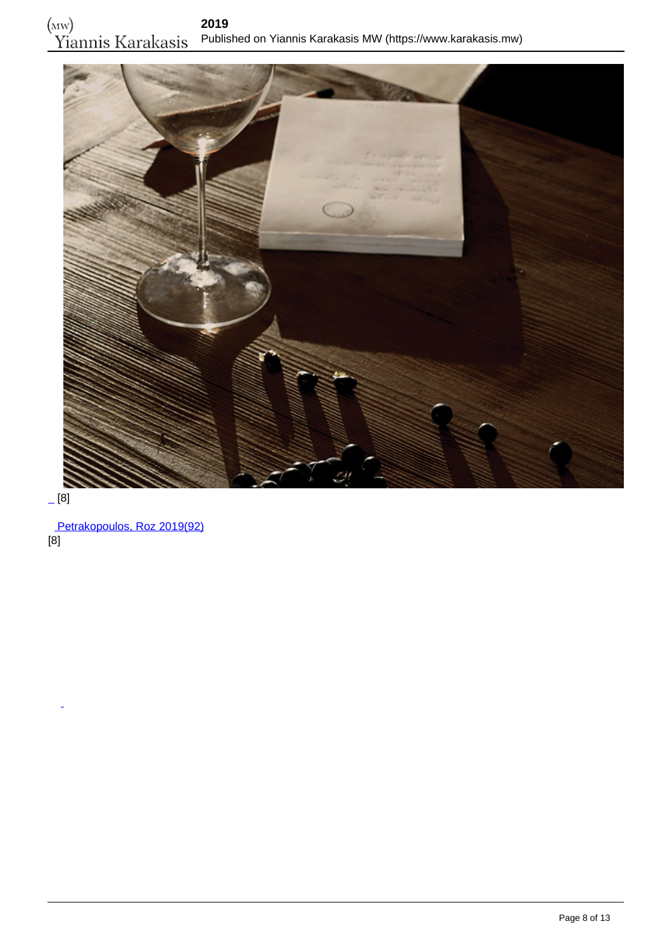

#### [8]

 [Petrakopoulos, Roz 2019\(92\)](https://www.karakasis.mw/petrakopoulos-roz-2019) [8]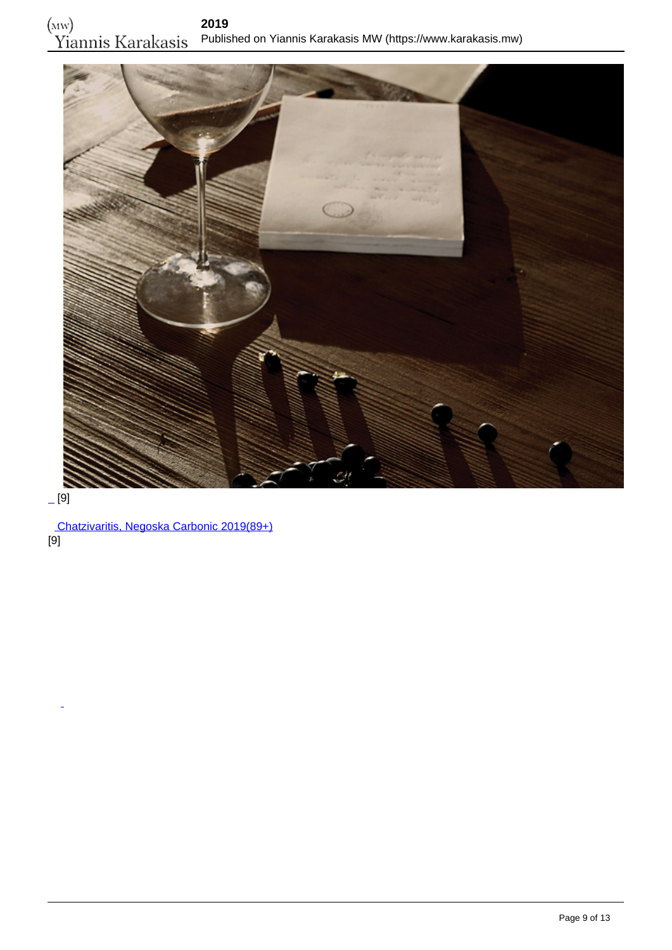

## $-$ [9]

 [Chatzivaritis, Negoska Carbonic 2019\(89+\)](https://www.karakasis.mw/chatzivaritis-negoska-carbonic-2019) [9]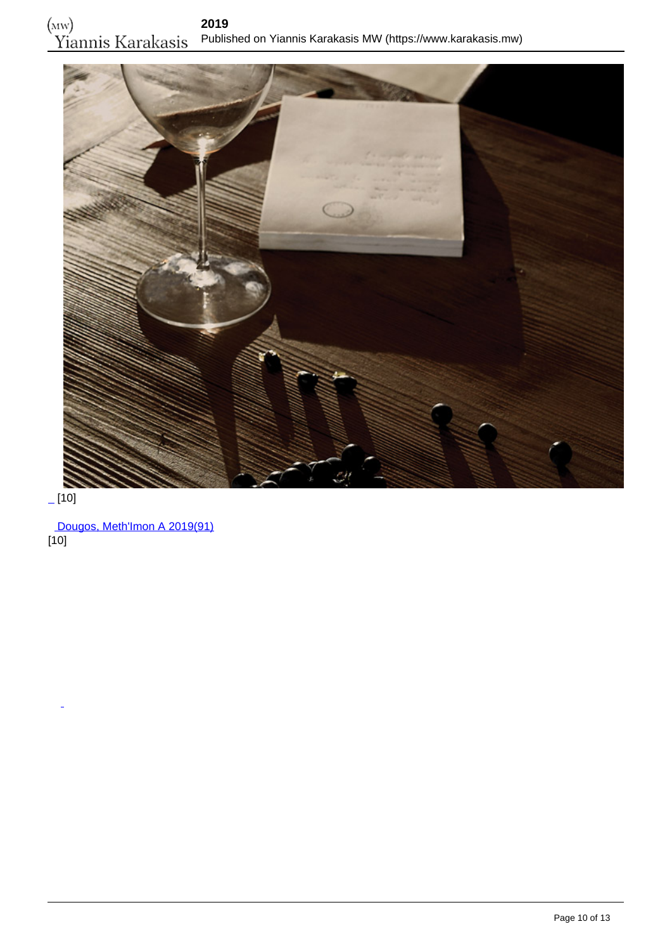

 $[10]$ 

 [Dougos, Meth'Imon A 2019\(91\)](https://www.karakasis.mw/dougos-methimon-2019)  $[10]$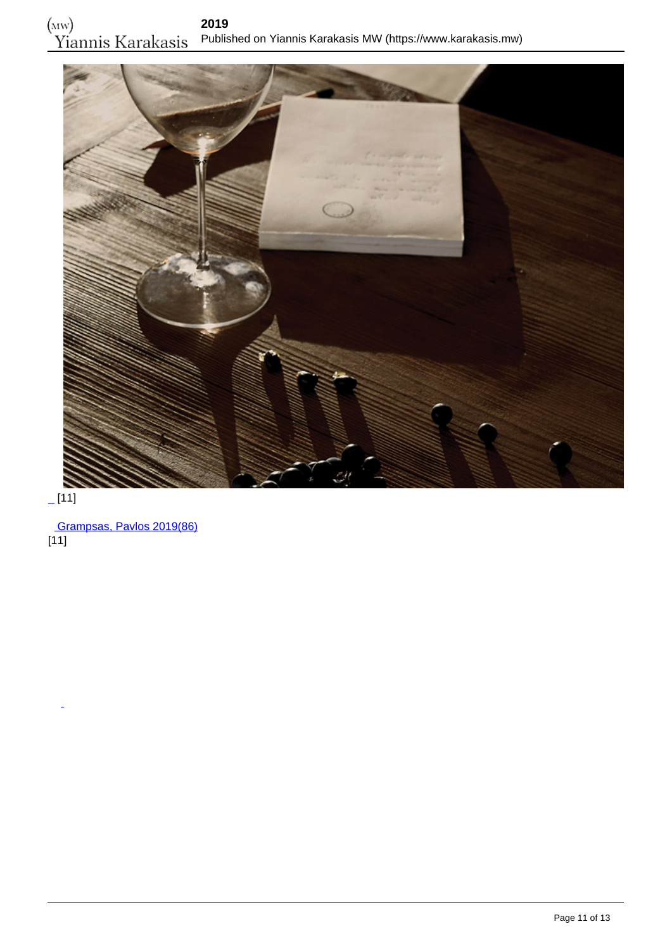

 $\overline{[11]}$ 

 [Grampsas, Pavlos 2019\(86\)](https://www.karakasis.mw/grampsas-pavlos-2019)  $[11]$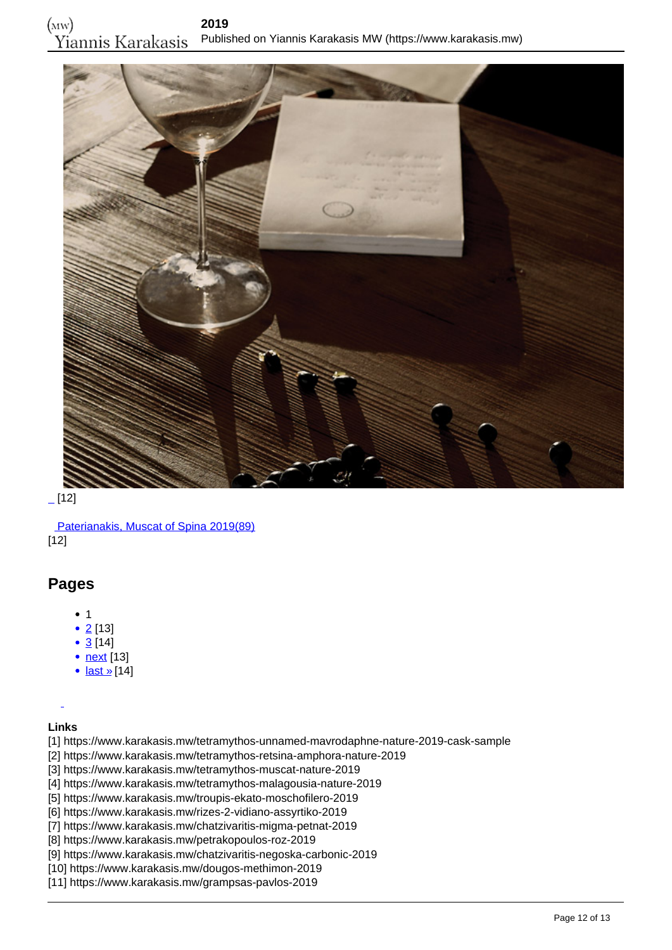

 $[12]$ 

 [Paterianakis, Muscat of Spina 2019\(89\)](https://www.karakasis.mw/paterianakis-muscat-spina-2019) [12]

#### **Pages**

- $1$
- $2$  [13]
- $\bullet$  [3](https://www.karakasis.mw/2019?page=2) [14]
- <u>[next](https://www.karakasis.mw/2019?page=1)</u> [13]
- [last »](https://www.karakasis.mw/2019?page=2)[14]

**Links**

[1] https://www.karakasis.mw/tetramythos-unnamed-mavrodaphne-nature-2019-cask-sample

- [2] https://www.karakasis.mw/tetramythos-retsina-amphora-nature-2019
- [3] https://www.karakasis.mw/tetramythos-muscat-nature-2019
- [4] https://www.karakasis.mw/tetramythos-malagousia-nature-2019
- [5] https://www.karakasis.mw/troupis-ekato-moschofilero-2019
- [6] https://www.karakasis.mw/rizes-2-vidiano-assyrtiko-2019
- [7] https://www.karakasis.mw/chatzivaritis-migma-petnat-2019
- [8] https://www.karakasis.mw/petrakopoulos-roz-2019
- [9] https://www.karakasis.mw/chatzivaritis-negoska-carbonic-2019
- [10] https://www.karakasis.mw/dougos-methimon-2019
- [11] https://www.karakasis.mw/grampsas-pavlos-2019